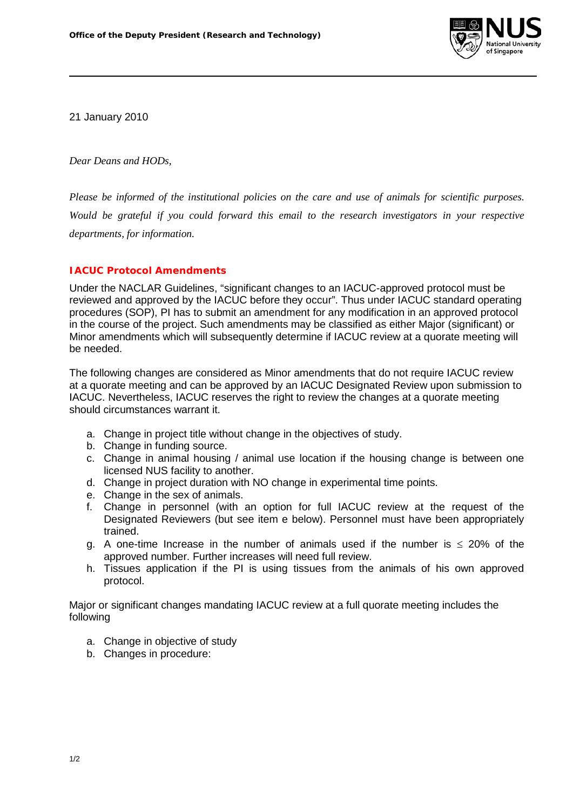

21 January 2010

*Dear Deans and HODs,*

*Please be informed of the institutional policies on the care and use of animals for scientific purposes. Would be grateful if you could forward this email to the research investigators in your respective departments, for information.*

## **IACUC Protocol Amendments**

Under the NACLAR Guidelines, "significant changes to an IACUC-approved protocol must be reviewed and approved by the IACUC before they occur". Thus under IACUC standard operating procedures (SOP), PI has to submit an amendment for any modification in an approved protocol in the course of the project. Such amendments may be classified as either Major (significant) or Minor amendments which will subsequently determine if IACUC review at a quorate meeting will be needed.

The following changes are considered as Minor amendments that do not require IACUC review at a quorate meeting and can be approved by an IACUC Designated Review upon submission to IACUC. Nevertheless, IACUC reserves the right to review the changes at a quorate meeting should circumstances warrant it.

- a. Change in project title without change in the objectives of study.
- b. Change in funding source.
- c. Change in animal housing / animal use location if the housing change is between one licensed NUS facility to another.
- d. Change in project duration with NO change in experimental time points.
- e. Change in the sex of animals.
- f. Change in personnel (with an option for full IACUC review at the request of the Designated Reviewers (but see item e below). Personnel must have been appropriately trained.
- g. A one-time Increase in the number of animals used if the number is  $\leq$  20% of the approved number. Further increases will need full review.
- h. Tissues application if the PI is using tissues from the animals of his own approved protocol.

Major or significant changes mandating IACUC review at a full quorate meeting includes the following

- a. Change in objective of study
- b. Changes in procedure: